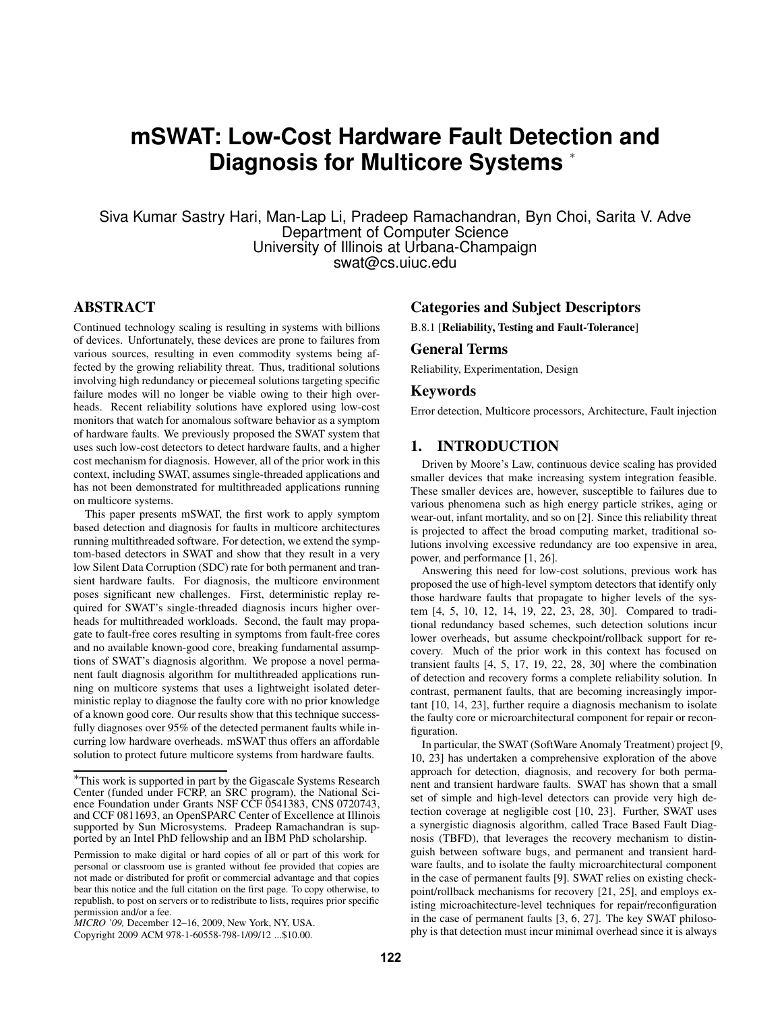# **mSWAT: Low-Cost Hardware Fault Detection and Diagnosis for Multicore Systems** <sup>∗</sup>

Siva Kumar Sastry Hari, Man-Lap Li, Pradeep Ramachandran, Byn Choi, Sarita V. Adve Department of Computer Science University of Illinois at Urbana-Champaign swat@cs.uiuc.edu

# **ABSTRACT**

Continued technology scaling is resulting in systems with billions of devices. Unfortunately, these devices are prone to failures from various sources, resulting in even commodity systems being affected by the growing reliability threat. Thus, traditional solutions involving high redundancy or piecemeal solutions targeting specific failure modes will no longer be viable owing to their high overheads. Recent reliability solutions have explored using low-cost monitors that watch for anomalous software behavior as a symptom of hardware faults. We previously proposed the SWAT system that uses such low-cost detectors to detect hardware faults, and a higher cost mechanism for diagnosis. However, all of the prior work in this context, including SWAT, assumes single-threaded applications and has not been demonstrated for multithreaded applications running on multicore systems.

This paper presents mSWAT, the first work to apply symptom based detection and diagnosis for faults in multicore architectures running multithreaded software. For detection, we extend the symptom-based detectors in SWAT and show that they result in a very low Silent Data Corruption (SDC) rate for both permanent and transient hardware faults. For diagnosis, the multicore environment poses significant new challenges. First, deterministic replay required for SWAT's single-threaded diagnosis incurs higher overheads for multithreaded workloads. Second, the fault may propagate to fault-free cores resulting in symptoms from fault-free cores and no available known-good core, breaking fundamental assumptions of SWAT's diagnosis algorithm. We propose a novel permanent fault diagnosis algorithm for multithreaded applications running on multicore systems that uses a lightweight isolated deterministic replay to diagnose the faulty core with no prior knowledge of a known good core. Our results show that this technique successfully diagnoses over 95% of the detected permanent faults while incurring low hardware overheads. mSWAT thus offers an affordable solution to protect future multicore systems from hardware faults.

# **Categories and Subject Descriptors**

B.8.1 [**Reliability, Testing and Fault-Tolerance**]

#### **General Terms**

Reliability, Experimentation, Design

## **Keywords**

Error detection, Multicore processors, Architecture, Fault injection

# **1. INTRODUCTION**

Driven by Moore's Law, continuous device scaling has provided smaller devices that make increasing system integration feasible. These smaller devices are, however, susceptible to failures due to various phenomena such as high energy particle strikes, aging or wear-out, infant mortality, and so on [2]. Since this reliability threat is projected to affect the broad computing market, traditional solutions involving excessive redundancy are too expensive in area, power, and performance [1, 26].

Answering this need for low-cost solutions, previous work has proposed the use of high-level symptom detectors that identify only those hardware faults that propagate to higher levels of the system [4, 5, 10, 12, 14, 19, 22, 23, 28, 30]. Compared to traditional redundancy based schemes, such detection solutions incur lower overheads, but assume checkpoint/rollback support for recovery. Much of the prior work in this context has focused on transient faults [4, 5, 17, 19, 22, 28, 30] where the combination of detection and recovery forms a complete reliability solution. In contrast, permanent faults, that are becoming increasingly important [10, 14, 23], further require a diagnosis mechanism to isolate the faulty core or microarchitectural component for repair or reconfiguration.

In particular, the SWAT (SoftWare Anomaly Treatment) project [9, 10, 23] has undertaken a comprehensive exploration of the above approach for detection, diagnosis, and recovery for both permanent and transient hardware faults. SWAT has shown that a small set of simple and high-level detectors can provide very high detection coverage at negligible cost [10, 23]. Further, SWAT uses a synergistic diagnosis algorithm, called Trace Based Fault Diagnosis (TBFD), that leverages the recovery mechanism to distinguish between software bugs, and permanent and transient hardware faults, and to isolate the faulty microarchitectural component in the case of permanent faults [9]. SWAT relies on existing checkpoint/rollback mechanisms for recovery [21, 25], and employs existing microachitecture-level techniques for repair/reconfiguration in the case of permanent faults [3, 6, 27]. The key SWAT philosophy is that detection must incur minimal overhead since it is always

<sup>∗</sup>This work is supported in part by the Gigascale Systems Research Center (funded under FCRP, an SRC program), the National Science Foundation under Grants NSF CCF 0541383, CNS 0720743, and CCF 0811693, an OpenSPARC Center of Excellence at Illinois supported by Sun Microsystems. Pradeep Ramachandran is supported by an Intel PhD fellowship and an IBM PhD scholarship.

Permission to make digital or hard copies of all or part of this work for personal or classroom use is granted without fee provided that copies are not made or distributed for profit or commercial advantage and that copies bear this notice and the full citation on the first page. To copy otherwise, to republish, to post on servers or to redistribute to lists, requires prior specific permission and/or a fee.

*MICRO '09,* December 12–16, 2009, New York, NY, USA.

Copyright 2009 ACM 978-1-60558-798-1/09/12 ...\$10.00.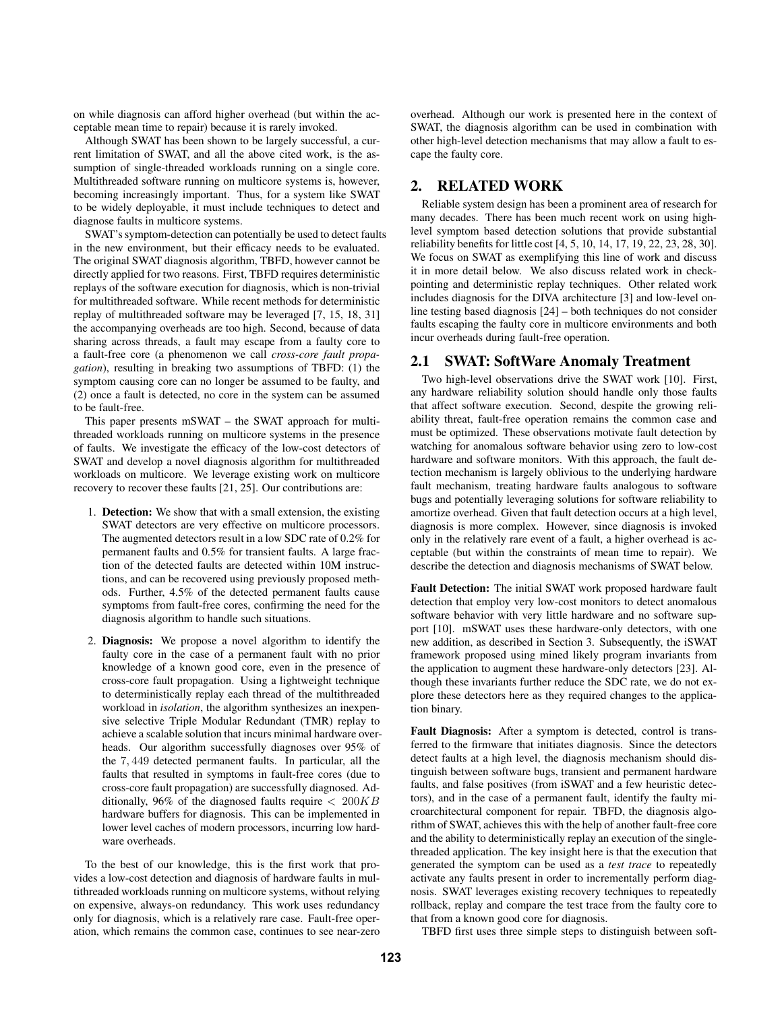on while diagnosis can afford higher overhead (but within the acceptable mean time to repair) because it is rarely invoked.

Although SWAT has been shown to be largely successful, a current limitation of SWAT, and all the above cited work, is the assumption of single-threaded workloads running on a single core. Multithreaded software running on multicore systems is, however, becoming increasingly important. Thus, for a system like SWAT to be widely deployable, it must include techniques to detect and diagnose faults in multicore systems.

SWAT's symptom-detection can potentially be used to detect faults in the new environment, but their efficacy needs to be evaluated. The original SWAT diagnosis algorithm, TBFD, however cannot be directly applied for two reasons. First, TBFD requires deterministic replays of the software execution for diagnosis, which is non-trivial for multithreaded software. While recent methods for deterministic replay of multithreaded software may be leveraged [7, 15, 18, 31] the accompanying overheads are too high. Second, because of data sharing across threads, a fault may escape from a faulty core to a fault-free core (a phenomenon we call *cross-core fault propagation*), resulting in breaking two assumptions of TBFD: (1) the symptom causing core can no longer be assumed to be faulty, and (2) once a fault is detected, no core in the system can be assumed to be fault-free.

This paper presents mSWAT – the SWAT approach for multithreaded workloads running on multicore systems in the presence of faults. We investigate the efficacy of the low-cost detectors of SWAT and develop a novel diagnosis algorithm for multithreaded workloads on multicore. We leverage existing work on multicore recovery to recover these faults [21, 25]. Our contributions are:

- 1. **Detection:** We show that with a small extension, the existing SWAT detectors are very effective on multicore processors. The augmented detectors result in a low SDC rate of 0.2% for permanent faults and 0.5% for transient faults. A large fraction of the detected faults are detected within 10M instructions, and can be recovered using previously proposed methods. Further, 4.5% of the detected permanent faults cause symptoms from fault-free cores, confirming the need for the diagnosis algorithm to handle such situations.
- 2. **Diagnosis:** We propose a novel algorithm to identify the faulty core in the case of a permanent fault with no prior knowledge of a known good core, even in the presence of cross-core fault propagation. Using a lightweight technique to deterministically replay each thread of the multithreaded workload in *isolation*, the algorithm synthesizes an inexpensive selective Triple Modular Redundant (TMR) replay to achieve a scalable solution that incurs minimal hardware overheads. Our algorithm successfully diagnoses over 95% of the 7, 449 detected permanent faults. In particular, all the faults that resulted in symptoms in fault-free cores (due to cross-core fault propagation) are successfully diagnosed. Additionally, 96% of the diagnosed faults require  $< 200KB$ hardware buffers for diagnosis. This can be implemented in lower level caches of modern processors, incurring low hardware overheads.

To the best of our knowledge, this is the first work that provides a low-cost detection and diagnosis of hardware faults in multithreaded workloads running on multicore systems, without relying on expensive, always-on redundancy. This work uses redundancy only for diagnosis, which is a relatively rare case. Fault-free operation, which remains the common case, continues to see near-zero overhead. Although our work is presented here in the context of SWAT, the diagnosis algorithm can be used in combination with other high-level detection mechanisms that may allow a fault to escape the faulty core.

# **2. RELATED WORK**

Reliable system design has been a prominent area of research for many decades. There has been much recent work on using highlevel symptom based detection solutions that provide substantial reliability benefits for little cost [4, 5, 10, 14, 17, 19, 22, 23, 28, 30]. We focus on SWAT as exemplifying this line of work and discuss it in more detail below. We also discuss related work in checkpointing and deterministic replay techniques. Other related work includes diagnosis for the DIVA architecture [3] and low-level online testing based diagnosis [24] – both techniques do not consider faults escaping the faulty core in multicore environments and both incur overheads during fault-free operation.

# **2.1 SWAT: SoftWare Anomaly Treatment**

Two high-level observations drive the SWAT work [10]. First, any hardware reliability solution should handle only those faults that affect software execution. Second, despite the growing reliability threat, fault-free operation remains the common case and must be optimized. These observations motivate fault detection by watching for anomalous software behavior using zero to low-cost hardware and software monitors. With this approach, the fault detection mechanism is largely oblivious to the underlying hardware fault mechanism, treating hardware faults analogous to software bugs and potentially leveraging solutions for software reliability to amortize overhead. Given that fault detection occurs at a high level, diagnosis is more complex. However, since diagnosis is invoked only in the relatively rare event of a fault, a higher overhead is acceptable (but within the constraints of mean time to repair). We describe the detection and diagnosis mechanisms of SWAT below.

**Fault Detection:** The initial SWAT work proposed hardware fault detection that employ very low-cost monitors to detect anomalous software behavior with very little hardware and no software support [10]. mSWAT uses these hardware-only detectors, with one new addition, as described in Section 3. Subsequently, the iSWAT framework proposed using mined likely program invariants from the application to augment these hardware-only detectors [23]. Although these invariants further reduce the SDC rate, we do not explore these detectors here as they required changes to the application binary.

**Fault Diagnosis:** After a symptom is detected, control is transferred to the firmware that initiates diagnosis. Since the detectors detect faults at a high level, the diagnosis mechanism should distinguish between software bugs, transient and permanent hardware faults, and false positives (from iSWAT and a few heuristic detectors), and in the case of a permanent fault, identify the faulty microarchitectural component for repair. TBFD, the diagnosis algorithm of SWAT, achieves this with the help of another fault-free core and the ability to deterministically replay an execution of the singlethreaded application. The key insight here is that the execution that generated the symptom can be used as a *test trace* to repeatedly activate any faults present in order to incrementally perform diagnosis. SWAT leverages existing recovery techniques to repeatedly rollback, replay and compare the test trace from the faulty core to that from a known good core for diagnosis.

TBFD first uses three simple steps to distinguish between soft-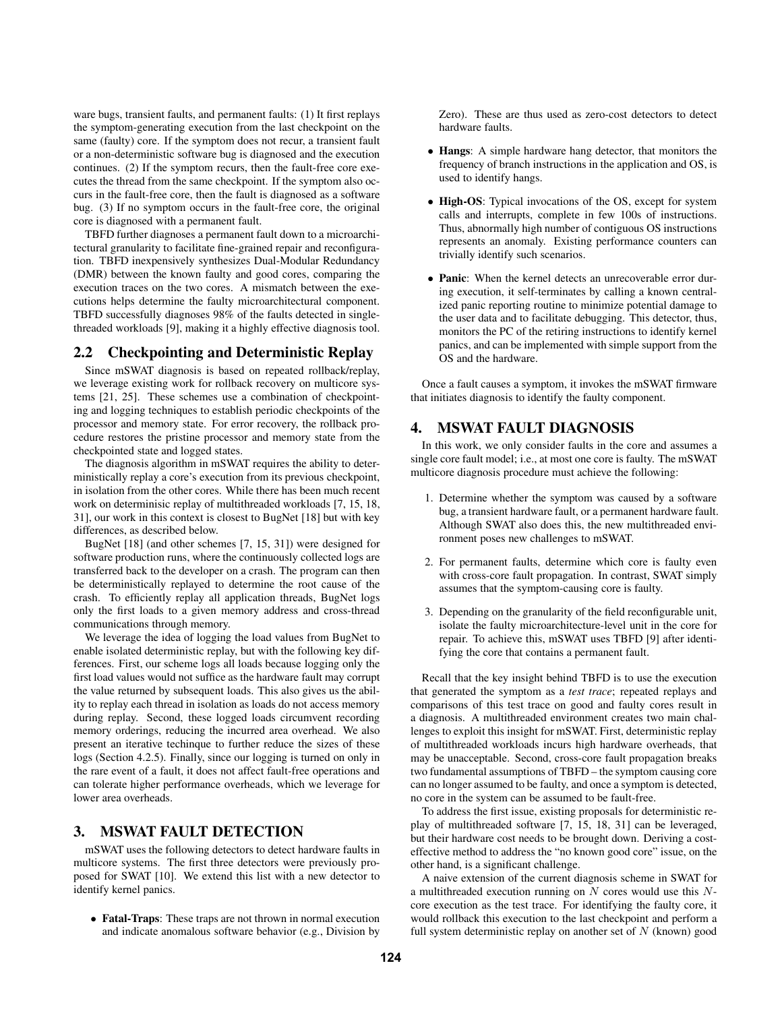ware bugs, transient faults, and permanent faults: (1) It first replays the symptom-generating execution from the last checkpoint on the same (faulty) core. If the symptom does not recur, a transient fault or a non-deterministic software bug is diagnosed and the execution continues. (2) If the symptom recurs, then the fault-free core executes the thread from the same checkpoint. If the symptom also occurs in the fault-free core, then the fault is diagnosed as a software bug. (3) If no symptom occurs in the fault-free core, the original core is diagnosed with a permanent fault.

TBFD further diagnoses a permanent fault down to a microarchitectural granularity to facilitate fine-grained repair and reconfiguration. TBFD inexpensively synthesizes Dual-Modular Redundancy (DMR) between the known faulty and good cores, comparing the execution traces on the two cores. A mismatch between the executions helps determine the faulty microarchitectural component. TBFD successfully diagnoses 98% of the faults detected in singlethreaded workloads [9], making it a highly effective diagnosis tool.

## **2.2 Checkpointing and Deterministic Replay**

Since mSWAT diagnosis is based on repeated rollback/replay, we leverage existing work for rollback recovery on multicore systems [21, 25]. These schemes use a combination of checkpointing and logging techniques to establish periodic checkpoints of the processor and memory state. For error recovery, the rollback procedure restores the pristine processor and memory state from the checkpointed state and logged states.

The diagnosis algorithm in mSWAT requires the ability to deterministically replay a core's execution from its previous checkpoint, in isolation from the other cores. While there has been much recent work on determinisic replay of multithreaded workloads [7, 15, 18, 31], our work in this context is closest to BugNet [18] but with key differences, as described below.

BugNet [18] (and other schemes [7, 15, 31]) were designed for software production runs, where the continuously collected logs are transferred back to the developer on a crash. The program can then be deterministically replayed to determine the root cause of the crash. To efficiently replay all application threads, BugNet logs only the first loads to a given memory address and cross-thread communications through memory.

We leverage the idea of logging the load values from BugNet to enable isolated deterministic replay, but with the following key differences. First, our scheme logs all loads because logging only the first load values would not suffice as the hardware fault may corrupt the value returned by subsequent loads. This also gives us the ability to replay each thread in isolation as loads do not access memory during replay. Second, these logged loads circumvent recording memory orderings, reducing the incurred area overhead. We also present an iterative techinque to further reduce the sizes of these logs (Section 4.2.5). Finally, since our logging is turned on only in the rare event of a fault, it does not affect fault-free operations and can tolerate higher performance overheads, which we leverage for lower area overheads.

# **3. MSWAT FAULT DETECTION**

mSWAT uses the following detectors to detect hardware faults in multicore systems. The first three detectors were previously proposed for SWAT [10]. We extend this list with a new detector to identify kernel panics.

• **Fatal-Traps**: These traps are not thrown in normal execution and indicate anomalous software behavior (e.g., Division by

Zero). These are thus used as zero-cost detectors to detect hardware faults.

- **Hangs**: A simple hardware hang detector, that monitors the frequency of branch instructions in the application and OS, is used to identify hangs.
- **High-OS**: Typical invocations of the OS, except for system calls and interrupts, complete in few 100s of instructions. Thus, abnormally high number of contiguous OS instructions represents an anomaly. Existing performance counters can trivially identify such scenarios.
- **Panic**: When the kernel detects an unrecoverable error during execution, it self-terminates by calling a known centralized panic reporting routine to minimize potential damage to the user data and to facilitate debugging. This detector, thus, monitors the PC of the retiring instructions to identify kernel panics, and can be implemented with simple support from the OS and the hardware.

Once a fault causes a symptom, it invokes the mSWAT firmware that initiates diagnosis to identify the faulty component.

## **4. MSWAT FAULT DIAGNOSIS**

In this work, we only consider faults in the core and assumes a single core fault model; i.e., at most one core is faulty. The mSWAT multicore diagnosis procedure must achieve the following:

- 1. Determine whether the symptom was caused by a software bug, a transient hardware fault, or a permanent hardware fault. Although SWAT also does this, the new multithreaded environment poses new challenges to mSWAT.
- 2. For permanent faults, determine which core is faulty even with cross-core fault propagation. In contrast, SWAT simply assumes that the symptom-causing core is faulty.
- 3. Depending on the granularity of the field reconfigurable unit, isolate the faulty microarchitecture-level unit in the core for repair. To achieve this, mSWAT uses TBFD [9] after identifying the core that contains a permanent fault.

Recall that the key insight behind TBFD is to use the execution that generated the symptom as a *test trace*; repeated replays and comparisons of this test trace on good and faulty cores result in a diagnosis. A multithreaded environment creates two main challenges to exploit this insight for mSWAT. First, deterministic replay of multithreaded workloads incurs high hardware overheads, that may be unacceptable. Second, cross-core fault propagation breaks two fundamental assumptions of TBFD – the symptom causing core can no longer assumed to be faulty, and once a symptom is detected, no core in the system can be assumed to be fault-free.

To address the first issue, existing proposals for deterministic replay of multithreaded software [7, 15, 18, 31] can be leveraged, but their hardware cost needs to be brought down. Deriving a costeffective method to address the "no known good core" issue, on the other hand, is a significant challenge.

A naive extension of the current diagnosis scheme in SWAT for a multithreaded execution running on  $N$  cores would use this  $N$ core execution as the test trace. For identifying the faulty core, it would rollback this execution to the last checkpoint and perform a full system deterministic replay on another set of  $N$  (known) good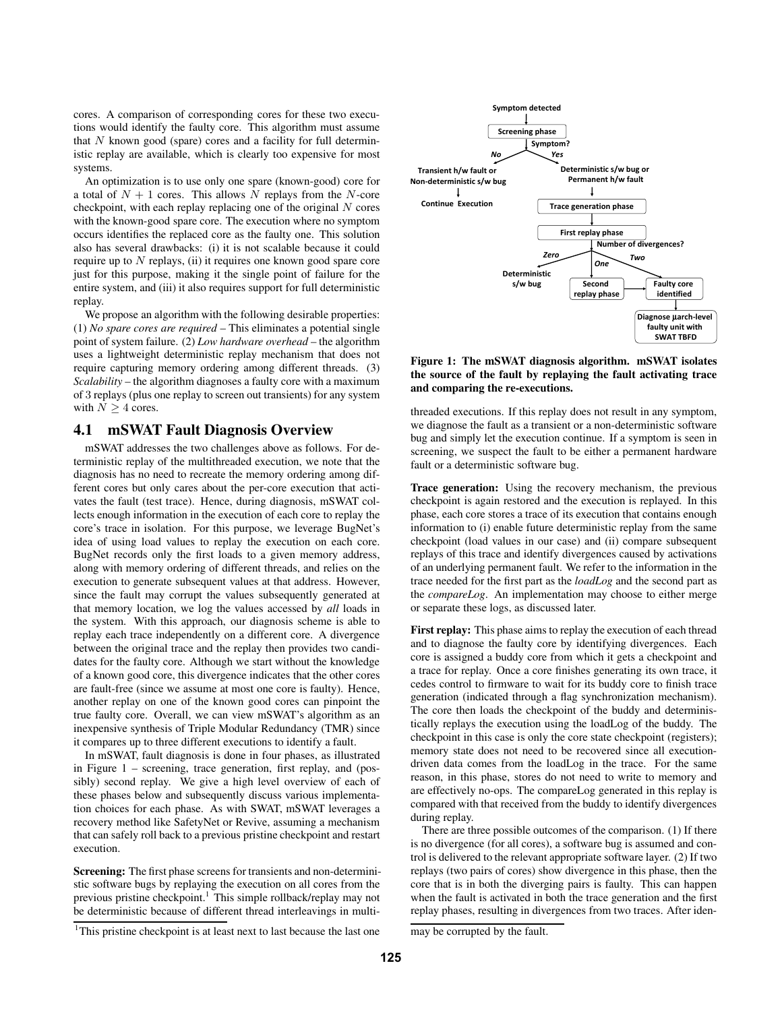cores. A comparison of corresponding cores for these two executions would identify the faulty core. This algorithm must assume that  $N$  known good (spare) cores and a facility for full deterministic replay are available, which is clearly too expensive for most systems.

An optimization is to use only one spare (known-good) core for a total of  $N + 1$  cores. This allows N replays from the N-core checkpoint, with each replay replacing one of the original  $N$  cores with the known-good spare core. The execution where no symptom occurs identifies the replaced core as the faulty one. This solution also has several drawbacks: (i) it is not scalable because it could require up to  $N$  replays, (ii) it requires one known good spare core just for this purpose, making it the single point of failure for the entire system, and (iii) it also requires support for full deterministic replay.

We propose an algorithm with the following desirable properties: (1) *No spare cores are required* – This eliminates a potential single point of system failure. (2) *Low hardware overhead* – the algorithm uses a lightweight deterministic replay mechanism that does not require capturing memory ordering among different threads. (3) *Scalability* – the algorithm diagnoses a faulty core with a maximum of 3 replays (plus one replay to screen out transients) for any system with  $N > 4$  cores.

## **4.1 mSWAT Fault Diagnosis Overview**

mSWAT addresses the two challenges above as follows. For deterministic replay of the multithreaded execution, we note that the diagnosis has no need to recreate the memory ordering among different cores but only cares about the per-core execution that activates the fault (test trace). Hence, during diagnosis, mSWAT collects enough information in the execution of each core to replay the core's trace in isolation. For this purpose, we leverage BugNet's idea of using load values to replay the execution on each core. BugNet records only the first loads to a given memory address, along with memory ordering of different threads, and relies on the execution to generate subsequent values at that address. However, since the fault may corrupt the values subsequently generated at that memory location, we log the values accessed by *all* loads in the system. With this approach, our diagnosis scheme is able to replay each trace independently on a different core. A divergence between the original trace and the replay then provides two candidates for the faulty core. Although we start without the knowledge of a known good core, this divergence indicates that the other cores are fault-free (since we assume at most one core is faulty). Hence, another replay on one of the known good cores can pinpoint the true faulty core. Overall, we can view mSWAT's algorithm as an inexpensive synthesis of Triple Modular Redundancy (TMR) since it compares up to three different executions to identify a fault.

In mSWAT, fault diagnosis is done in four phases, as illustrated in Figure 1 – screening, trace generation, first replay, and (possibly) second replay. We give a high level overview of each of these phases below and subsequently discuss various implementation choices for each phase. As with SWAT, mSWAT leverages a recovery method like SafetyNet or Revive, assuming a mechanism that can safely roll back to a previous pristine checkpoint and restart execution.

**Screening:** The first phase screens for transients and non-deterministic software bugs by replaying the execution on all cores from the previous pristine checkpoint.<sup>1</sup> This simple rollback/replay may not be deterministic because of different thread interleavings in multi-



**Figure 1: The mSWAT diagnosis algorithm. mSWAT isolates the source of the fault by replaying the fault activating trace and comparing the re-executions.**

threaded executions. If this replay does not result in any symptom, we diagnose the fault as a transient or a non-deterministic software bug and simply let the execution continue. If a symptom is seen in screening, we suspect the fault to be either a permanent hardware fault or a deterministic software bug.

**Trace generation:** Using the recovery mechanism, the previous checkpoint is again restored and the execution is replayed. In this phase, each core stores a trace of its execution that contains enough information to (i) enable future deterministic replay from the same checkpoint (load values in our case) and (ii) compare subsequent replays of this trace and identify divergences caused by activations of an underlying permanent fault. We refer to the information in the trace needed for the first part as the *loadLog* and the second part as the *compareLog*. An implementation may choose to either merge or separate these logs, as discussed later.

**First replay:** This phase aims to replay the execution of each thread and to diagnose the faulty core by identifying divergences. Each core is assigned a buddy core from which it gets a checkpoint and a trace for replay. Once a core finishes generating its own trace, it cedes control to firmware to wait for its buddy core to finish trace generation (indicated through a flag synchronization mechanism). The core then loads the checkpoint of the buddy and deterministically replays the execution using the loadLog of the buddy. The checkpoint in this case is only the core state checkpoint (registers); memory state does not need to be recovered since all executiondriven data comes from the loadLog in the trace. For the same reason, in this phase, stores do not need to write to memory and are effectively no-ops. The compareLog generated in this replay is compared with that received from the buddy to identify divergences during replay.

There are three possible outcomes of the comparison. (1) If there is no divergence (for all cores), a software bug is assumed and control is delivered to the relevant appropriate software layer. (2) If two replays (two pairs of cores) show divergence in this phase, then the core that is in both the diverging pairs is faulty. This can happen when the fault is activated in both the trace generation and the first replay phases, resulting in divergences from two traces. After iden-

<sup>&</sup>lt;sup>1</sup>This pristine checkpoint is at least next to last because the last one

may be corrupted by the fault.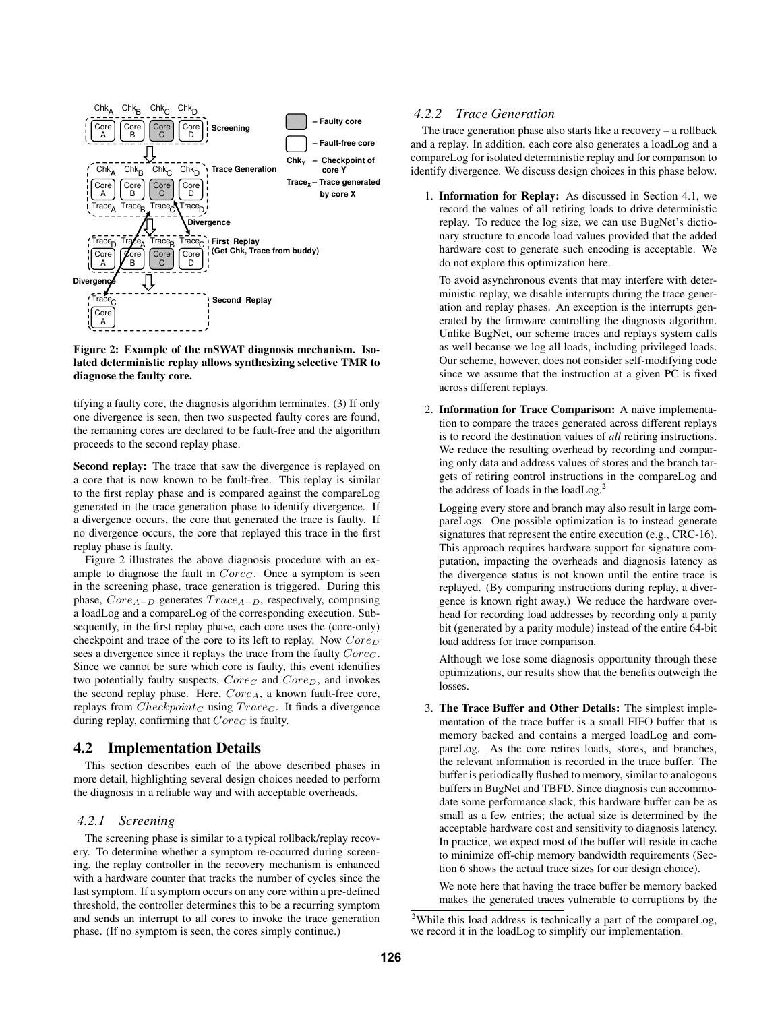

#### **Figure 2: Example of the mSWAT diagnosis mechanism. Isolated deterministic replay allows synthesizing selective TMR to diagnose the faulty core.**

tifying a faulty core, the diagnosis algorithm terminates. (3) If only one divergence is seen, then two suspected faulty cores are found, the remaining cores are declared to be fault-free and the algorithm proceeds to the second replay phase.

**Second replay:** The trace that saw the divergence is replayed on a core that is now known to be fault-free. This replay is similar to the first replay phase and is compared against the compareLog generated in the trace generation phase to identify divergence. If a divergence occurs, the core that generated the trace is faulty. If no divergence occurs, the core that replayed this trace in the first replay phase is faulty.

Figure 2 illustrates the above diagnosis procedure with an example to diagnose the fault in  $Core<sub>C</sub>$ . Once a symptom is seen in the screening phase, trace generation is triggered. During this phase,  $Core_{A-D}$  generates  $Trace_{A-D}$ , respectively, comprising a loadLog and a compareLog of the corresponding execution. Subsequently, in the first replay phase, each core uses the (core-only) checkpoint and trace of the core to its left to replay. Now  $Core_D$ sees a divergence since it replays the trace from the faulty  $Core<sub>C</sub>$ . Since we cannot be sure which core is faulty, this event identifies two potentially faulty suspects,  $Core_C$  and  $Core_D$ , and invokes the second replay phase. Here,  $Core_A$ , a known fault-free core, replays from  $Checkpoint_C$  using  $Trace_C$ . It finds a divergence during replay, confirming that  $Core_C$  is faulty.

# **4.2 Implementation Details**

This section describes each of the above described phases in more detail, highlighting several design choices needed to perform the diagnosis in a reliable way and with acceptable overheads.

## *4.2.1 Screening*

The screening phase is similar to a typical rollback/replay recovery. To determine whether a symptom re-occurred during screening, the replay controller in the recovery mechanism is enhanced with a hardware counter that tracks the number of cycles since the last symptom. If a symptom occurs on any core within a pre-defined threshold, the controller determines this to be a recurring symptom and sends an interrupt to all cores to invoke the trace generation phase. (If no symptom is seen, the cores simply continue.)

# *4.2.2 Trace Generation*

The trace generation phase also starts like a recovery – a rollback and a replay. In addition, each core also generates a loadLog and a compareLog for isolated deterministic replay and for comparison to identify divergence. We discuss design choices in this phase below.

1. **Information for Replay:** As discussed in Section 4.1, we record the values of all retiring loads to drive deterministic replay. To reduce the log size, we can use BugNet's dictionary structure to encode load values provided that the added hardware cost to generate such encoding is acceptable. We do not explore this optimization here.

To avoid asynchronous events that may interfere with deterministic replay, we disable interrupts during the trace generation and replay phases. An exception is the interrupts generated by the firmware controlling the diagnosis algorithm. Unlike BugNet, our scheme traces and replays system calls as well because we log all loads, including privileged loads. Our scheme, however, does not consider self-modifying code since we assume that the instruction at a given PC is fixed across different replays.

2. **Information for Trace Comparison:** A naive implementation to compare the traces generated across different replays is to record the destination values of *all* retiring instructions. We reduce the resulting overhead by recording and comparing only data and address values of stores and the branch targets of retiring control instructions in the compareLog and the address of loads in the loadLog.<sup>2</sup>

Logging every store and branch may also result in large compareLogs. One possible optimization is to instead generate signatures that represent the entire execution (e.g., CRC-16). This approach requires hardware support for signature computation, impacting the overheads and diagnosis latency as the divergence status is not known until the entire trace is replayed. (By comparing instructions during replay, a divergence is known right away.) We reduce the hardware overhead for recording load addresses by recording only a parity bit (generated by a parity module) instead of the entire 64-bit load address for trace comparison.

Although we lose some diagnosis opportunity through these optimizations, our results show that the benefits outweigh the losses.

3. **The Trace Buffer and Other Details:** The simplest implementation of the trace buffer is a small FIFO buffer that is memory backed and contains a merged loadLog and compareLog. As the core retires loads, stores, and branches, the relevant information is recorded in the trace buffer. The buffer is periodically flushed to memory, similar to analogous buffers in BugNet and TBFD. Since diagnosis can accommodate some performance slack, this hardware buffer can be as small as a few entries; the actual size is determined by the acceptable hardware cost and sensitivity to diagnosis latency. In practice, we expect most of the buffer will reside in cache to minimize off-chip memory bandwidth requirements (Section 6 shows the actual trace sizes for our design choice).

We note here that having the trace buffer be memory backed makes the generated traces vulnerable to corruptions by the

<sup>2</sup>While this load address is technically a part of the compareLog, we record it in the loadLog to simplify our implementation.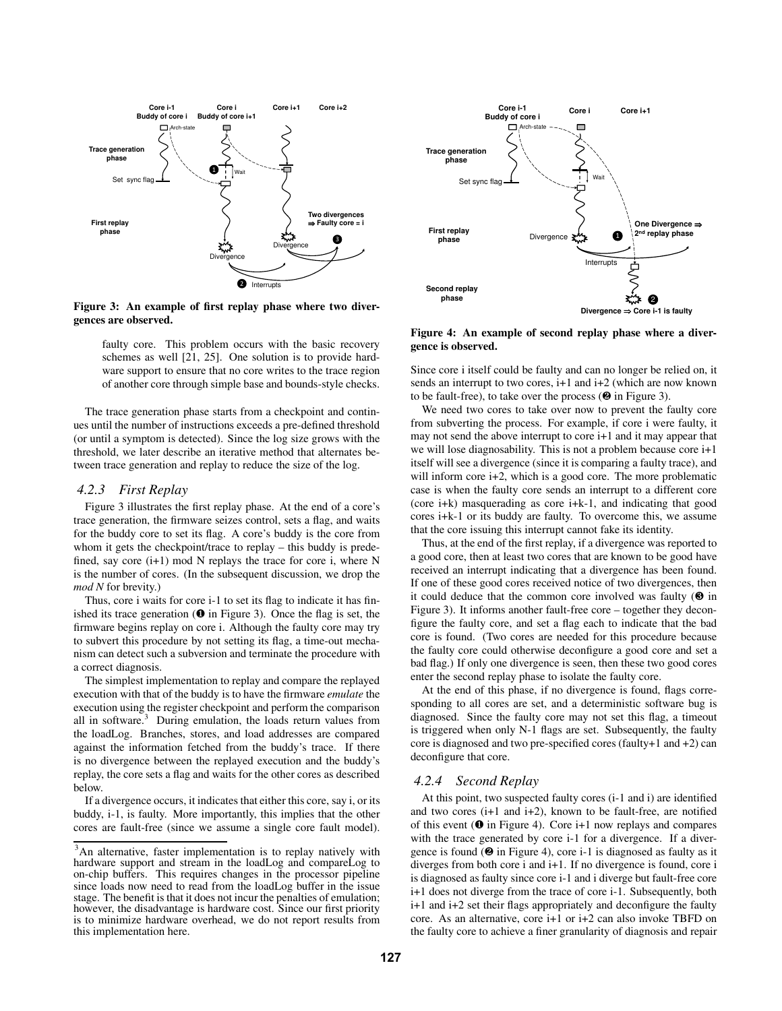

**Figure 3: An example of first replay phase where two divergences are observed.**

faulty core. This problem occurs with the basic recovery schemes as well [21, 25]. One solution is to provide hardware support to ensure that no core writes to the trace region of another core through simple base and bounds-style checks.

The trace generation phase starts from a checkpoint and continues until the number of instructions exceeds a pre-defined threshold (or until a symptom is detected). Since the log size grows with the threshold, we later describe an iterative method that alternates between trace generation and replay to reduce the size of the log.

#### *4.2.3 First Replay*

Figure 3 illustrates the first replay phase. At the end of a core's trace generation, the firmware seizes control, sets a flag, and waits for the buddy core to set its flag. A core's buddy is the core from whom it gets the checkpoint/trace to replay – this buddy is predefined, say core (i+1) mod N replays the trace for core i, where N is the number of cores. (In the subsequent discussion, we drop the *mod N* for brevity.)

Thus, core i waits for core i-1 to set its flag to indicate it has finished its trace generation  $(\mathbf{0}$  in Figure 3). Once the flag is set, the firmware begins replay on core i. Although the faulty core may try to subvert this procedure by not setting its flag, a time-out mechanism can detect such a subversion and terminate the procedure with a correct diagnosis.

The simplest implementation to replay and compare the replayed execution with that of the buddy is to have the firmware *emulate* the execution using the register checkpoint and perform the comparison all in software. $3$  During emulation, the loads return values from the loadLog. Branches, stores, and load addresses are compared against the information fetched from the buddy's trace. If there is no divergence between the replayed execution and the buddy's replay, the core sets a flag and waits for the other cores as described below.

If a divergence occurs, it indicates that either this core, say i, or its buddy, i-1, is faulty. More importantly, this implies that the other cores are fault-free (since we assume a single core fault model).



**Figure 4: An example of second replay phase where a divergence is observed.**

Since core i itself could be faulty and can no longer be relied on, it sends an interrupt to two cores, i+1 and i+2 (which are now known to be fault-free), to take over the process  $(\mathbf{\Theta})$  in Figure 3).

We need two cores to take over now to prevent the faulty core from subverting the process. For example, if core i were faulty, it may not send the above interrupt to core i+1 and it may appear that we will lose diagnosability. This is not a problem because core i+1 itself will see a divergence (since it is comparing a faulty trace), and will inform core i+2, which is a good core. The more problematic case is when the faulty core sends an interrupt to a different core (core i+k) masquerading as core i+k-1, and indicating that good cores i+k-1 or its buddy are faulty. To overcome this, we assume that the core issuing this interrupt cannot fake its identity.

Thus, at the end of the first replay, if a divergence was reported to a good core, then at least two cores that are known to be good have received an interrupt indicating that a divergence has been found. If one of these good cores received notice of two divergences, then it could deduce that the common core involved was faulty  $(\mathbf{\Theta})$  in Figure 3). It informs another fault-free core – together they deconfigure the faulty core, and set a flag each to indicate that the bad core is found. (Two cores are needed for this procedure because the faulty core could otherwise deconfigure a good core and set a bad flag.) If only one divergence is seen, then these two good cores enter the second replay phase to isolate the faulty core.

At the end of this phase, if no divergence is found, flags corresponding to all cores are set, and a deterministic software bug is diagnosed. Since the faulty core may not set this flag, a timeout is triggered when only N-1 flags are set. Subsequently, the faulty core is diagnosed and two pre-specified cores (faulty+1 and +2) can deconfigure that core.

#### *4.2.4 Second Replay*

At this point, two suspected faulty cores (i-1 and i) are identified and two cores  $(i+1)$  and  $i+2$ ), known to be fault-free, are notified of this event ( $\bullet$  in Figure 4). Core i+1 now replays and compares with the trace generated by core i-1 for a divergence. If a divergence is found (❷ in Figure 4), core i-1 is diagnosed as faulty as it diverges from both core i and i+1. If no divergence is found, core i is diagnosed as faulty since core i-1 and i diverge but fault-free core i+1 does not diverge from the trace of core i-1. Subsequently, both i+1 and i+2 set their flags appropriately and deconfigure the faulty core. As an alternative, core i+1 or i+2 can also invoke TBFD on the faulty core to achieve a finer granularity of diagnosis and repair

<sup>&</sup>lt;sup>3</sup>An alternative, faster implementation is to replay natively with hardware support and stream in the loadLog and compareLog to on-chip buffers. This requires changes in the processor pipeline since loads now need to read from the loadLog buffer in the issue stage. The benefit is that it does not incur the penalties of emulation; however, the disadvantage is hardware cost. Since our first priority is to minimize hardware overhead, we do not report results from this implementation here.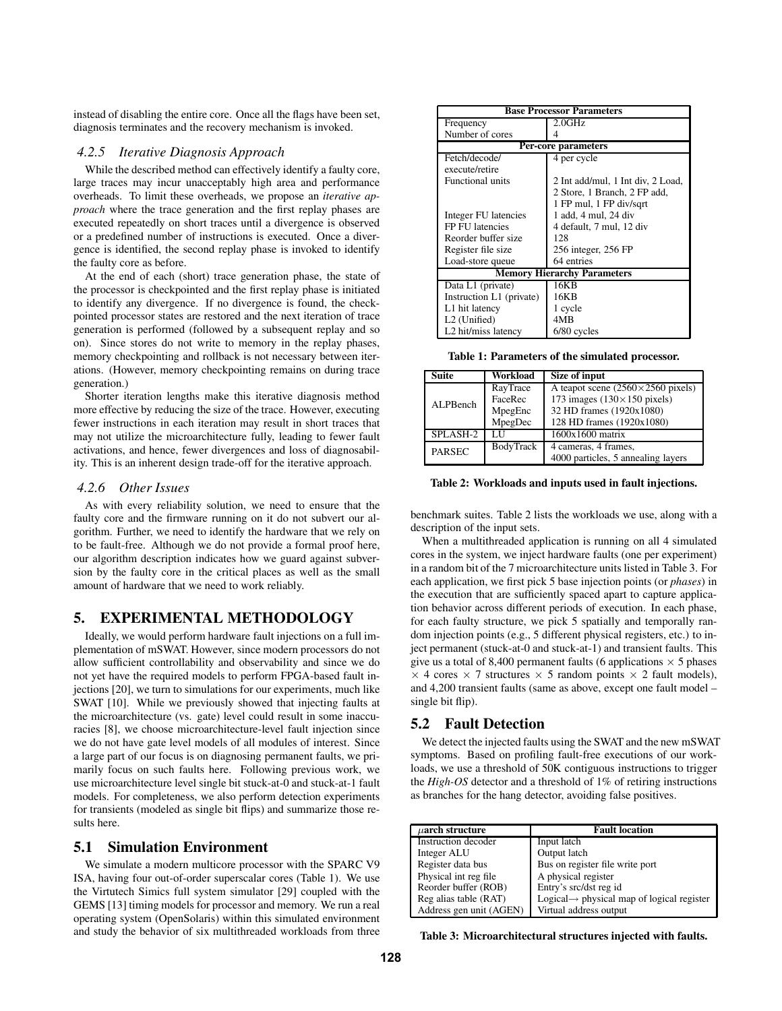instead of disabling the entire core. Once all the flags have been set, diagnosis terminates and the recovery mechanism is invoked.

#### *4.2.5 Iterative Diagnosis Approach*

While the described method can effectively identify a faulty core, large traces may incur unacceptably high area and performance overheads. To limit these overheads, we propose an *iterative approach* where the trace generation and the first replay phases are executed repeatedly on short traces until a divergence is observed or a predefined number of instructions is executed. Once a divergence is identified, the second replay phase is invoked to identify the faulty core as before.

At the end of each (short) trace generation phase, the state of the processor is checkpointed and the first replay phase is initiated to identify any divergence. If no divergence is found, the checkpointed processor states are restored and the next iteration of trace generation is performed (followed by a subsequent replay and so on). Since stores do not write to memory in the replay phases, memory checkpointing and rollback is not necessary between iterations. (However, memory checkpointing remains on during trace generation.)

Shorter iteration lengths make this iterative diagnosis method more effective by reducing the size of the trace. However, executing fewer instructions in each iteration may result in short traces that may not utilize the microarchitecture fully, leading to fewer fault activations, and hence, fewer divergences and loss of diagnosability. This is an inherent design trade-off for the iterative approach.

#### *4.2.6 Other Issues*

As with every reliability solution, we need to ensure that the faulty core and the firmware running on it do not subvert our algorithm. Further, we need to identify the hardware that we rely on to be fault-free. Although we do not provide a formal proof here, our algorithm description indicates how we guard against subversion by the faulty core in the critical places as well as the small amount of hardware that we need to work reliably.

## **5. EXPERIMENTAL METHODOLOGY**

Ideally, we would perform hardware fault injections on a full implementation of mSWAT. However, since modern processors do not allow sufficient controllability and observability and since we do not yet have the required models to perform FPGA-based fault injections [20], we turn to simulations for our experiments, much like SWAT [10]. While we previously showed that injecting faults at the microarchitecture (vs. gate) level could result in some inaccuracies [8], we choose microarchitecture-level fault injection since we do not have gate level models of all modules of interest. Since a large part of our focus is on diagnosing permanent faults, we primarily focus on such faults here. Following previous work, we use microarchitecture level single bit stuck-at-0 and stuck-at-1 fault models. For completeness, we also perform detection experiments for transients (modeled as single bit flips) and summarize those results here.

#### **5.1 Simulation Environment**

We simulate a modern multicore processor with the SPARC V9 ISA, having four out-of-order superscalar cores (Table 1). We use the Virtutech Simics full system simulator [29] coupled with the GEMS [13] timing models for processor and memory. We run a real operating system (OpenSolaris) within this simulated environment and study the behavior of six multithreaded workloads from three

| <b>Base Processor Parameters</b>   |                                   |  |
|------------------------------------|-----------------------------------|--|
| Frequency                          | 2.0GHz                            |  |
| Number of cores                    | Δ                                 |  |
| Per-core parameters                |                                   |  |
| Fetch/decode/                      | 4 per cycle                       |  |
| execute/retire                     |                                   |  |
| <b>Functional units</b>            | 2 Int add/mul, 1 Int div, 2 Load, |  |
|                                    | 2 Store, 1 Branch, 2 FP add,      |  |
|                                    | 1 FP mul, 1 FP div/sqrt           |  |
| Integer FU latencies               | 1 add, 4 mul, 24 div              |  |
| FP FU latencies                    | 4 default, 7 mul, 12 div          |  |
| Reorder buffer size                | 128                               |  |
| Register file size                 | 256 integer, 256 FP               |  |
| Load-store queue                   | 64 entries                        |  |
| <b>Memory Hierarchy Parameters</b> |                                   |  |
| Data L1 (private)                  | 16KB                              |  |
| Instruction L1 (private)           | 16KB                              |  |
| L1 hit latency                     | 1 cycle                           |  |
| L <sub>2</sub> (Unified)           | 4MB                               |  |
| L2 hit/miss latency                | 6/80 cycles                       |  |

**Table 1: Parameters of the simulated processor.**

| <b>Suite</b>  | Workload  | Size of input                               |
|---------------|-----------|---------------------------------------------|
| ALPBench      | RayTrace  | A teapot scene $(2560 \times 2560)$ pixels) |
|               | FaceRec   | 173 images $(130 \times 150$ pixels)        |
|               | MpegEnc   | 32 HD frames (1920x1080)                    |
|               | MpegDec   | 128 HD frames (1920x1080)                   |
| SPLASH-2      | LН        | $1600x1600$ matrix                          |
| <b>PARSEC</b> | BodyTrack | 4 cameras, 4 frames,                        |
|               |           | 4000 particles, 5 annealing layers          |

**Table 2: Workloads and inputs used in fault injections.**

benchmark suites. Table 2 lists the workloads we use, along with a description of the input sets.

When a multithreaded application is running on all 4 simulated cores in the system, we inject hardware faults (one per experiment) in a random bit of the 7 microarchitecture units listed in Table 3. For each application, we first pick 5 base injection points (or *phases*) in the execution that are sufficiently spaced apart to capture application behavior across different periods of execution. In each phase, for each faulty structure, we pick 5 spatially and temporally random injection points (e.g., 5 different physical registers, etc.) to inject permanent (stuck-at-0 and stuck-at-1) and transient faults. This give us a total of 8,400 permanent faults (6 applications  $\times$  5 phases  $\times$  4 cores  $\times$  7 structures  $\times$  5 random points  $\times$  2 fault models), and 4,200 transient faults (same as above, except one fault model – single bit flip).

## **5.2 Fault Detection**

We detect the injected faults using the SWAT and the new mSWAT symptoms. Based on profiling fault-free executions of our workloads, we use a threshold of 50K contiguous instructions to trigger the *High-OS* detector and a threshold of 1% of retiring instructions as branches for the hang detector, avoiding false positives.

| $\mu$ arch structure    | <b>Fault location</b>                                  |
|-------------------------|--------------------------------------------------------|
| Instruction decoder     | Input latch                                            |
| Integer ALU             | Output latch                                           |
| Register data bus       | Bus on register file write port                        |
| Physical int reg file   | A physical register                                    |
| Reorder buffer (ROB)    | Entry's src/dst reg id                                 |
| Reg alias table (RAT)   | Logical $\rightarrow$ physical map of logical register |
| Address gen unit (AGEN) | Virtual address output                                 |

**Table 3: Microarchitectural structures injected with faults.**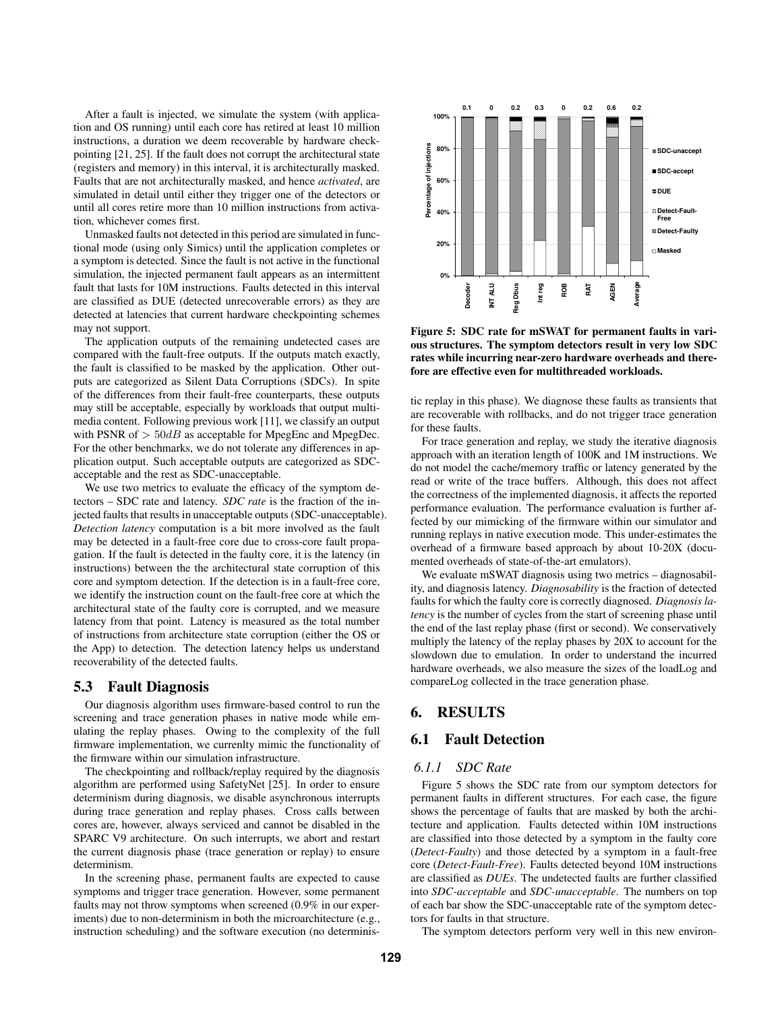After a fault is injected, we simulate the system (with application and OS running) until each core has retired at least 10 million instructions, a duration we deem recoverable by hardware checkpointing [21, 25]. If the fault does not corrupt the architectural state (registers and memory) in this interval, it is architecturally masked. Faults that are not architecturally masked, and hence *activated*, are simulated in detail until either they trigger one of the detectors or until all cores retire more than 10 million instructions from activation, whichever comes first.

Unmasked faults not detected in this period are simulated in functional mode (using only Simics) until the application completes or a symptom is detected. Since the fault is not active in the functional simulation, the injected permanent fault appears as an intermittent fault that lasts for 10M instructions. Faults detected in this interval are classified as DUE (detected unrecoverable errors) as they are detected at latencies that current hardware checkpointing schemes may not support.

The application outputs of the remaining undetected cases are compared with the fault-free outputs. If the outputs match exactly, the fault is classified to be masked by the application. Other outputs are categorized as Silent Data Corruptions (SDCs). In spite of the differences from their fault-free counterparts, these outputs may still be acceptable, especially by workloads that output multimedia content. Following previous work [11], we classify an output with PSNR of  $> 50dB$  as acceptable for MpegEnc and MpegDec. For the other benchmarks, we do not tolerate any differences in application output. Such acceptable outputs are categorized as SDCacceptable and the rest as SDC-unacceptable.

We use two metrics to evaluate the efficacy of the symptom detectors – SDC rate and latency. *SDC rate* is the fraction of the injected faults that results in unacceptable outputs (SDC-unacceptable). *Detection latency* computation is a bit more involved as the fault may be detected in a fault-free core due to cross-core fault propagation. If the fault is detected in the faulty core, it is the latency (in instructions) between the the architectural state corruption of this core and symptom detection. If the detection is in a fault-free core, we identify the instruction count on the fault-free core at which the architectural state of the faulty core is corrupted, and we measure latency from that point. Latency is measured as the total number of instructions from architecture state corruption (either the OS or the App) to detection. The detection latency helps us understand recoverability of the detected faults.

## **5.3 Fault Diagnosis**

Our diagnosis algorithm uses firmware-based control to run the screening and trace generation phases in native mode while emulating the replay phases. Owing to the complexity of the full firmware implementation, we currenlty mimic the functionality of the firmware within our simulation infrastructure.

The checkpointing and rollback/replay required by the diagnosis algorithm are performed using SafetyNet [25]. In order to ensure determinism during diagnosis, we disable asynchronous interrupts during trace generation and replay phases. Cross calls between cores are, however, always serviced and cannot be disabled in the SPARC V9 architecture. On such interrupts, we abort and restart the current diagnosis phase (trace generation or replay) to ensure determinism.

In the screening phase, permanent faults are expected to cause symptoms and trigger trace generation. However, some permanent faults may not throw symptoms when screened (0.9% in our experiments) due to non-determinism in both the microarchitecture (e.g., instruction scheduling) and the software execution (no determinis-



**Figure 5: SDC rate for mSWAT for permanent faults in various structures. The symptom detectors result in very low SDC rates while incurring near-zero hardware overheads and therefore are effective even for multithreaded workloads.**

tic replay in this phase). We diagnose these faults as transients that are recoverable with rollbacks, and do not trigger trace generation for these faults.

For trace generation and replay, we study the iterative diagnosis approach with an iteration length of 100K and 1M instructions. We do not model the cache/memory traffic or latency generated by the read or write of the trace buffers. Although, this does not affect the correctness of the implemented diagnosis, it affects the reported performance evaluation. The performance evaluation is further affected by our mimicking of the firmware within our simulator and running replays in native execution mode. This under-estimates the overhead of a firmware based approach by about 10-20X (documented overheads of state-of-the-art emulators).

We evaluate mSWAT diagnosis using two metrics – diagnosability, and diagnosis latency. *Diagnosability* is the fraction of detected faults for which the faulty core is correctly diagnosed. *Diagnosis latency* is the number of cycles from the start of screening phase until the end of the last replay phase (first or second). We conservatively multiply the latency of the replay phases by 20X to account for the slowdown due to emulation. In order to understand the incurred hardware overheads, we also measure the sizes of the loadLog and compareLog collected in the trace generation phase.

# **6. RESULTS**

# **6.1 Fault Detection**

## *6.1.1 SDC Rate*

Figure 5 shows the SDC rate from our symptom detectors for permanent faults in different structures. For each case, the figure shows the percentage of faults that are masked by both the architecture and application. Faults detected within 10M instructions are classified into those detected by a symptom in the faulty core (*Detect-Faulty*) and those detected by a symptom in a fault-free core (*Detect-Fault-Free*). Faults detected beyond 10M instructions are classified as *DUEs*. The undetected faults are further classified into *SDC-acceptable* and *SDC-unacceptable*. The numbers on top of each bar show the SDC-unacceptable rate of the symptom detectors for faults in that structure.

The symptom detectors perform very well in this new environ-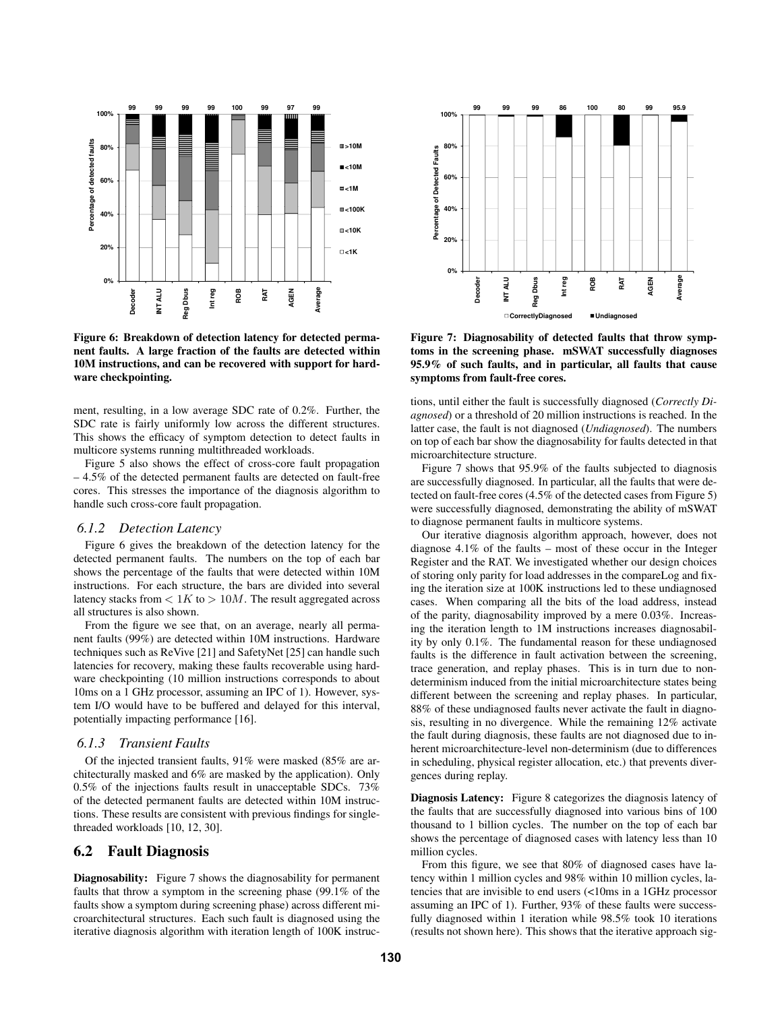

**Figure 6: Breakdown of detection latency for detected permanent faults. A large fraction of the faults are detected within 10M instructions, and can be recovered with support for hardware checkpointing.**

ment, resulting, in a low average SDC rate of 0.2%. Further, the SDC rate is fairly uniformly low across the different structures. This shows the efficacy of symptom detection to detect faults in multicore systems running multithreaded workloads.

Figure 5 also shows the effect of cross-core fault propagation – 4.5% of the detected permanent faults are detected on fault-free cores. This stresses the importance of the diagnosis algorithm to handle such cross-core fault propagation.

#### *6.1.2 Detection Latency*

Figure 6 gives the breakdown of the detection latency for the detected permanent faults. The numbers on the top of each bar shows the percentage of the faults that were detected within 10M instructions. For each structure, the bars are divided into several latency stacks from  $\lt 1K$  to  $> 10M$ . The result aggregated across all structures is also shown.

From the figure we see that, on an average, nearly all permanent faults (99%) are detected within 10M instructions. Hardware techniques such as ReVive [21] and SafetyNet [25] can handle such latencies for recovery, making these faults recoverable using hardware checkpointing (10 million instructions corresponds to about 10ms on a 1 GHz processor, assuming an IPC of 1). However, system I/O would have to be buffered and delayed for this interval, potentially impacting performance [16].

#### *6.1.3 Transient Faults*

Of the injected transient faults, 91% were masked (85% are architecturally masked and 6% are masked by the application). Only 0.5% of the injections faults result in unacceptable SDCs. 73% of the detected permanent faults are detected within 10M instructions. These results are consistent with previous findings for singlethreaded workloads [10, 12, 30].

#### **6.2 Fault Diagnosis**

**Diagnosability:** Figure 7 shows the diagnosability for permanent faults that throw a symptom in the screening phase (99.1% of the faults show a symptom during screening phase) across different microarchitectural structures. Each such fault is diagnosed using the iterative diagnosis algorithm with iteration length of 100K instruc-



**Figure 7: Diagnosability of detected faults that throw symptoms in the screening phase. mSWAT successfully diagnoses 95.9% of such faults, and in particular, all faults that cause symptoms from fault-free cores.**

tions, until either the fault is successfully diagnosed (*Correctly Diagnosed*) or a threshold of 20 million instructions is reached. In the latter case, the fault is not diagnosed (*Undiagnosed*). The numbers on top of each bar show the diagnosability for faults detected in that microarchitecture structure.

Figure 7 shows that 95.9% of the faults subjected to diagnosis are successfully diagnosed. In particular, all the faults that were detected on fault-free cores (4.5% of the detected cases from Figure 5) were successfully diagnosed, demonstrating the ability of mSWAT to diagnose permanent faults in multicore systems.

Our iterative diagnosis algorithm approach, however, does not diagnose 4.1% of the faults – most of these occur in the Integer Register and the RAT. We investigated whether our design choices of storing only parity for load addresses in the compareLog and fixing the iteration size at 100K instructions led to these undiagnosed cases. When comparing all the bits of the load address, instead of the parity, diagnosability improved by a mere 0.03%. Increasing the iteration length to 1M instructions increases diagnosability by only 0.1%. The fundamental reason for these undiagnosed faults is the difference in fault activation between the screening, trace generation, and replay phases. This is in turn due to nondeterminism induced from the initial microarchitecture states being different between the screening and replay phases. In particular, 88% of these undiagnosed faults never activate the fault in diagnosis, resulting in no divergence. While the remaining 12% activate the fault during diagnosis, these faults are not diagnosed due to inherent microarchitecture-level non-determinism (due to differences in scheduling, physical register allocation, etc.) that prevents divergences during replay.

**Diagnosis Latency:** Figure 8 categorizes the diagnosis latency of the faults that are successfully diagnosed into various bins of 100 thousand to 1 billion cycles. The number on the top of each bar shows the percentage of diagnosed cases with latency less than 10 million cycles.

From this figure, we see that 80% of diagnosed cases have latency within 1 million cycles and 98% within 10 million cycles, latencies that are invisible to end users (<10ms in a 1GHz processor assuming an IPC of 1). Further, 93% of these faults were successfully diagnosed within 1 iteration while 98.5% took 10 iterations (results not shown here). This shows that the iterative approach sig-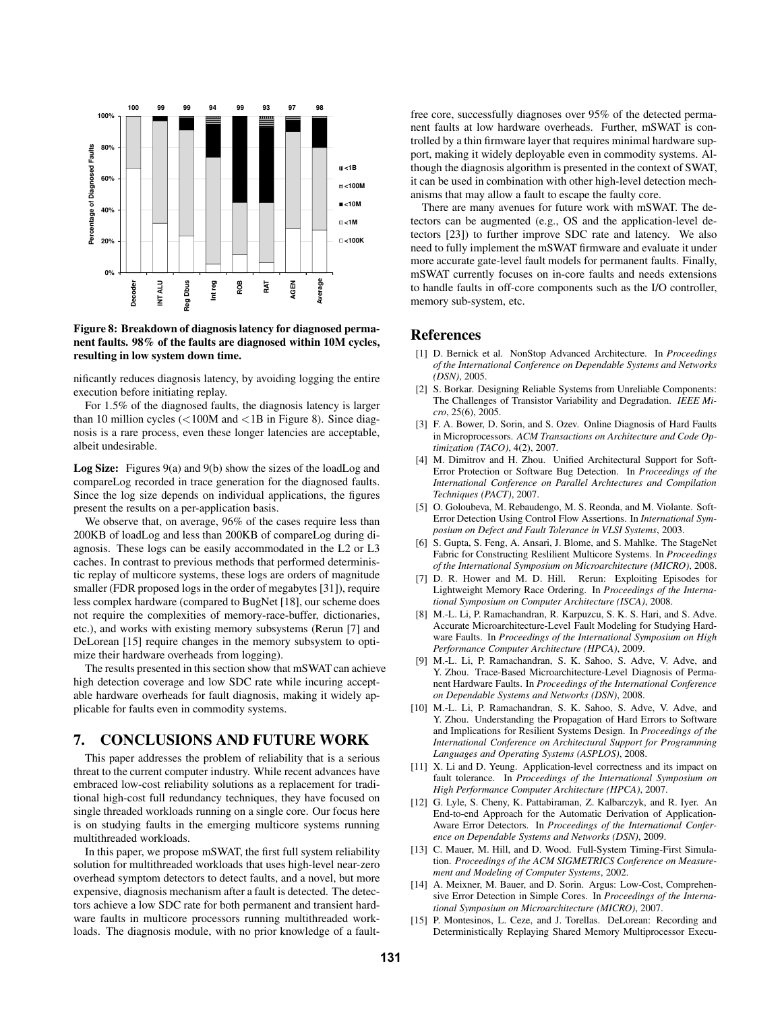

**Figure 8: Breakdown of diagnosis latency for diagnosed permanent faults. 98% of the faults are diagnosed within 10M cycles, resulting in low system down time.**

nificantly reduces diagnosis latency, by avoiding logging the entire execution before initiating replay.

For 1.5% of the diagnosed faults, the diagnosis latency is larger than 10 million cycles (<100M and <1B in Figure 8). Since diagnosis is a rare process, even these longer latencies are acceptable, albeit undesirable.

**Log Size:** Figures 9(a) and 9(b) show the sizes of the loadLog and compareLog recorded in trace generation for the diagnosed faults. Since the log size depends on individual applications, the figures present the results on a per-application basis.

We observe that, on average, 96% of the cases require less than 200KB of loadLog and less than 200KB of compareLog during diagnosis. These logs can be easily accommodated in the L2 or L3 caches. In contrast to previous methods that performed deterministic replay of multicore systems, these logs are orders of magnitude smaller (FDR proposed logs in the order of megabytes [31]), require less complex hardware (compared to BugNet [18], our scheme does not require the complexities of memory-race-buffer, dictionaries, etc.), and works with existing memory subsystems (Rerun [7] and DeLorean [15] require changes in the memory subsystem to optimize their hardware overheads from logging).

The results presented in this section show that mSWAT can achieve high detection coverage and low SDC rate while incuring acceptable hardware overheads for fault diagnosis, making it widely applicable for faults even in commodity systems.

# **7. CONCLUSIONS AND FUTURE WORK**

This paper addresses the problem of reliability that is a serious threat to the current computer industry. While recent advances have embraced low-cost reliability solutions as a replacement for traditional high-cost full redundancy techniques, they have focused on single threaded workloads running on a single core. Our focus here is on studying faults in the emerging multicore systems running multithreaded workloads.

In this paper, we propose mSWAT, the first full system reliability solution for multithreaded workloads that uses high-level near-zero overhead symptom detectors to detect faults, and a novel, but more expensive, diagnosis mechanism after a fault is detected. The detectors achieve a low SDC rate for both permanent and transient hardware faults in multicore processors running multithreaded workloads. The diagnosis module, with no prior knowledge of a faultfree core, successfully diagnoses over 95% of the detected permanent faults at low hardware overheads. Further, mSWAT is controlled by a thin firmware layer that requires minimal hardware support, making it widely deployable even in commodity systems. Although the diagnosis algorithm is presented in the context of SWAT, it can be used in combination with other high-level detection mechanisms that may allow a fault to escape the faulty core.

There are many avenues for future work with mSWAT. The detectors can be augmented (e.g., OS and the application-level detectors [23]) to further improve SDC rate and latency. We also need to fully implement the mSWAT firmware and evaluate it under more accurate gate-level fault models for permanent faults. Finally, mSWAT currently focuses on in-core faults and needs extensions to handle faults in off-core components such as the I/O controller, memory sub-system, etc.

## **References**

- [1] D. Bernick et al. NonStop Advanced Architecture. In *Proceedings of the International Conference on Dependable Systems and Networks (DSN)*, 2005.
- [2] S. Borkar. Designing Reliable Systems from Unreliable Components: The Challenges of Transistor Variability and Degradation. *IEEE Micro*, 25(6), 2005.
- [3] F. A. Bower, D. Sorin, and S. Ozev. Online Diagnosis of Hard Faults in Microprocessors. *ACM Transactions on Architecture and Code Optimization (TACO)*, 4(2), 2007.
- [4] M. Dimitrov and H. Zhou. Unified Architectural Support for Soft-Error Protection or Software Bug Detection. In *Proceedings of the International Conference on Parallel Archtectures and Compilation Techniques (PACT)*, 2007.
- [5] O. Goloubeva, M. Rebaudengo, M. S. Reonda, and M. Violante. Soft-Error Detection Using Control Flow Assertions. In *International Symposium on Defect and Fault Tolerance in VLSI Systems*, 2003.
- [6] S. Gupta, S. Feng, A. Ansari, J. Blome, and S. Mahlke. The StageNet Fabric for Constructing Reslilient Multicore Systems. In *Proceedings of the International Symposium on Microarchitecture (MICRO)*, 2008.
- [7] D. R. Hower and M. D. Hill. Rerun: Exploiting Episodes for Lightweight Memory Race Ordering. In *Proceedings of the International Symposium on Computer Architecture (ISCA)*, 2008.
- [8] M.-L. Li, P. Ramachandran, R. Karpuzcu, S. K. S. Hari, and S. Adve. Accurate Microarchitecture-Level Fault Modeling for Studying Hardware Faults. In *Proceedings of the International Symposium on High Performance Computer Architecture (HPCA)*, 2009.
- [9] M.-L. Li, P. Ramachandran, S. K. Sahoo, S. Adve, V. Adve, and Y. Zhou. Trace-Based Microarchitecture-Level Diagnosis of Permanent Hardware Faults. In *Proceedings of the International Conference on Dependable Systems and Networks (DSN)*, 2008.
- [10] M.-L. Li, P. Ramachandran, S. K. Sahoo, S. Adve, V. Adve, and Y. Zhou. Understanding the Propagation of Hard Errors to Software and Implications for Resilient Systems Design. In *Proceedings of the International Conference on Architectural Support for Programming Languages and Operating Systems (ASPLOS)*, 2008.
- [11] X. Li and D. Yeung. Application-level correctness and its impact on fault tolerance. In *Proceedings of the International Symposium on High Performance Computer Architecture (HPCA)*, 2007.
- [12] G. Lyle, S. Cheny, K. Pattabiraman, Z. Kalbarczyk, and R. Iyer. An End-to-end Approach for the Automatic Derivation of Application-Aware Error Detectors. In *Proceedings of the International Conference on Dependable Systems and Networks (DSN)*, 2009.
- [13] C. Mauer, M. Hill, and D. Wood. Full-System Timing-First Simulation. *Proceedings of the ACM SIGMETRICS Conference on Measurement and Modeling of Computer Systems*, 2002.
- [14] A. Meixner, M. Bauer, and D. Sorin. Argus: Low-Cost, Comprehensive Error Detection in Simple Cores. In *Proceedings of the International Symposium on Microarchitecture (MICRO)*, 2007.
- [15] P. Montesinos, L. Ceze, and J. Torellas. DeLorean: Recording and Deterministically Replaying Shared Memory Multiprocessor Execu-